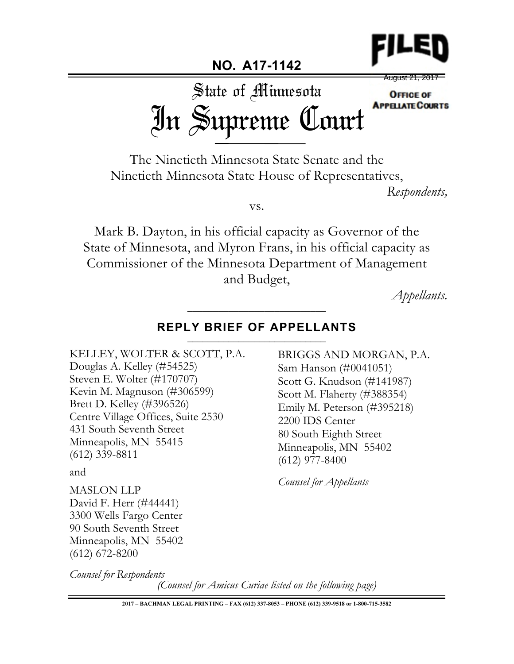

August 21, 2017State of Minnesota **OFFICE OF APPELATE COURTS** In Supreme Court

The Ninetieth Minnesota State Senate and the Ninetieth Minnesota State House of Representatives,

**NO. A17-1142**

*Respondents,*

vs.

Mark B. Dayton, in his official capacity as Governor of the State of Minnesota, and Myron Frans, in his official capacity as Commissioner of the Minnesota Department of Management and Budget,

*Appellants.*

## REPLY BRIEF OF APPELLANTS

\_\_\_\_\_\_\_\_\_\_\_\_\_\_\_\_\_\_\_\_\_\_\_\_\_\_\_

KELLEY, WOLTER & SCOTT, P.A. Douglas A. Kelley (#54525) Steven E. Wolter (#170707) Kevin M. Magnuson (#306599) Brett D. Kelley (#396526) Centre Village Offices, Suite 2530 431 South Seventh Street Minneapolis, MN 55415 (612) 339-8811

and

MASLON LLP David F. Herr (#44441) 3300 Wells Fargo Center 90 South Seventh Street Minneapolis, MN 55402 (612) 672-8200

*Counsel for Respondents*

*(Counsel for Amicus Curiae listed on the following page)*

2200 IDS Center

(612) 977-8400

*Counsel for Appellants*

80 South Eighth Street Minneapolis, MN 55402

BRIGGS AND MORGAN, P.A.

Sam Hanson (#0041051) Scott G. Knudson (#141987) Scott M. Flaherty (#388354) Emily M. Peterson (#395218)

**2017 – BACHMAN LEGAL PRINTING – FAX (612) 337-8053 – PHONE (612) 339-9518 or 1-800-715-3582**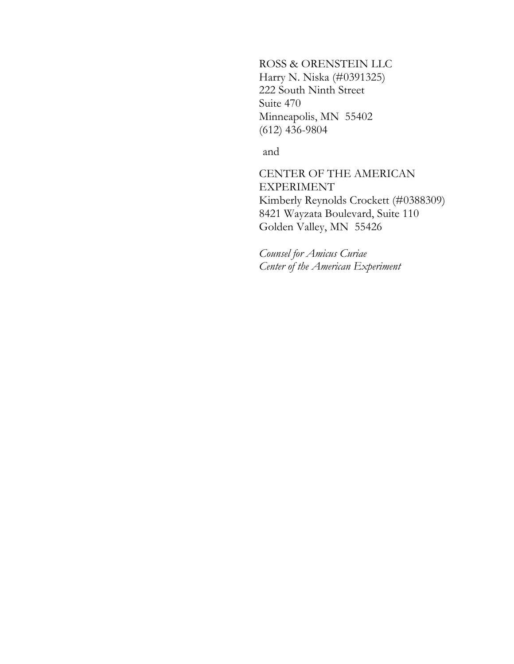ROSS & ORENSTEIN LLC Harry N. Niska (#0391325) 222 South Ninth Street Suite 470 Minneapolis, MN 55402 (612) 436-9804

and

CENTER OF THE AMERICAN EXPERIMENT Kimberly Reynolds Crockett (#0388309) 8421 Wayzata Boulevard, Suite 110 Golden Valley, MN 55426

*Counsel for Amicus Curiae Center of the American Experiment*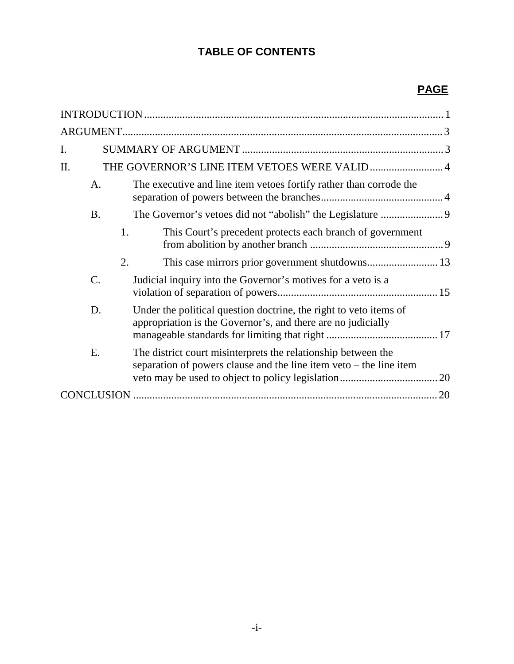# **TABLE OF CONTENTS**

# **PAGE**

| I.        |                                                                                                                                       |  |
|-----------|---------------------------------------------------------------------------------------------------------------------------------------|--|
| II.       | THE GOVERNOR'S LINE ITEM VETOES WERE VALID  4                                                                                         |  |
| A.        | The executive and line item vetoes fortify rather than corrode the                                                                    |  |
| <b>B.</b> |                                                                                                                                       |  |
| 1.        | This Court's precedent protects each branch of government                                                                             |  |
| 2.        |                                                                                                                                       |  |
| C.        | Judicial inquiry into the Governor's motives for a veto is a                                                                          |  |
| D.        | Under the political question doctrine, the right to veto items of<br>appropriation is the Governor's, and there are no judicially     |  |
| E.        | The district court misinterprets the relationship between the<br>separation of powers clause and the line item $veto$ – the line item |  |
|           |                                                                                                                                       |  |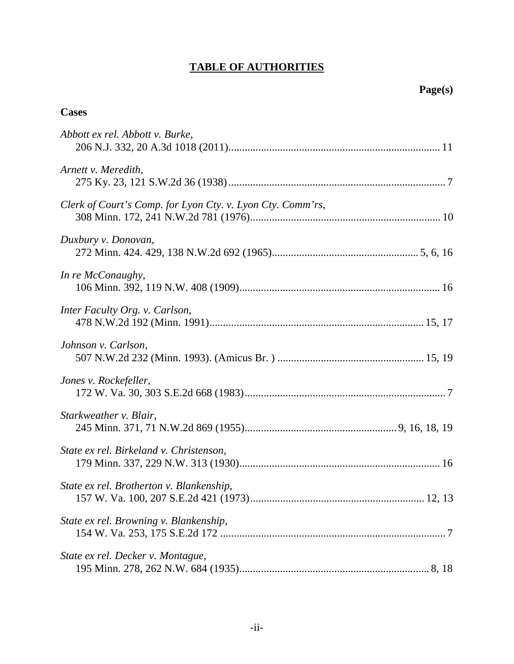# **TABLE OF AUTHORITIES**

## **Cases**

| Abbott ex rel. Abbott v. Burke,                            |
|------------------------------------------------------------|
| Arnett v. Meredith,                                        |
| Clerk of Court's Comp. for Lyon Cty. v. Lyon Cty. Comm'rs, |
| Duxbury v. Donovan,                                        |
| In re McConaughy,                                          |
| Inter Faculty Org. v. Carlson,                             |
| Johnson v. Carlson,                                        |
| Jones v. Rockefeller,                                      |
| Starkweather v. Blair,                                     |
| State ex rel. Birkeland v. Christenson,                    |
| State ex rel. Brotherton v. Blankenship,                   |
| State ex rel. Browning v. Blankenship,                     |
| State ex rel. Decker v. Montague,                          |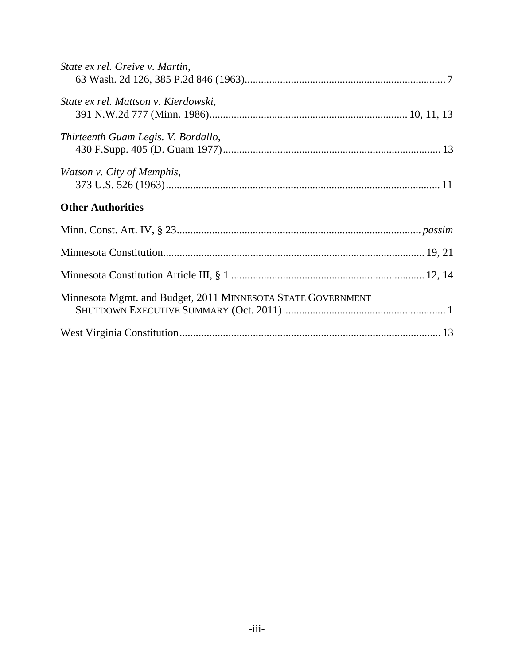| State ex rel. Greive v. Martin,                             |  |
|-------------------------------------------------------------|--|
| State ex rel. Mattson v. Kierdowski,                        |  |
| Thirteenth Guam Legis. V. Bordallo,                         |  |
| Watson v. City of Memphis,                                  |  |
| <b>Other Authorities</b>                                    |  |
|                                                             |  |
|                                                             |  |
|                                                             |  |
| Minnesota Mgmt. and Budget, 2011 MINNESOTA STATE GOVERNMENT |  |
|                                                             |  |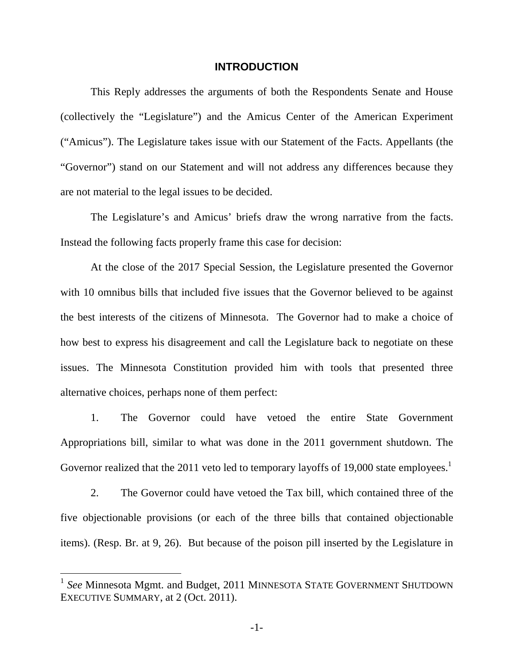#### **INTRODUCTION**

This Reply addresses the arguments of both the Respondents Senate and House (collectively the "Legislature") and the Amicus Center of the American Experiment ("Amicus"). The Legislature takes issue with our Statement of the Facts. Appellants (the "Governor") stand on our Statement and will not address any differences because they are not material to the legal issues to be decided.

The Legislature's and Amicus' briefs draw the wrong narrative from the facts. Instead the following facts properly frame this case for decision:

At the close of the 2017 Special Session, the Legislature presented the Governor with 10 omnibus bills that included five issues that the Governor believed to be against the best interests of the citizens of Minnesota. The Governor had to make a choice of how best to express his disagreement and call the Legislature back to negotiate on these issues. The Minnesota Constitution provided him with tools that presented three alternative choices, perhaps none of them perfect:

1. The Governor could have vetoed the entire State Government Appropriations bill, similar to what was done in the 2011 government shutdown. The Governor realized that the 20[1](#page-5-1)1 veto led to temporary layoffs of 19,000 state employees.<sup>1</sup>

2. The Governor could have vetoed the Tax bill, which contained three of the five objectionable provisions (or each of the three bills that contained objectionable items). (Resp. Br. at 9, 26). But because of the poison pill inserted by the Legislature in

<span id="page-5-1"></span><span id="page-5-0"></span><sup>&</sup>lt;sup>1</sup> See Minnesota Mgmt. and Budget, 2011 MINNESOTA STATE GOVERNMENT SHUTDOWN EXECUTIVE SUMMARY, at 2 (Oct. 2011).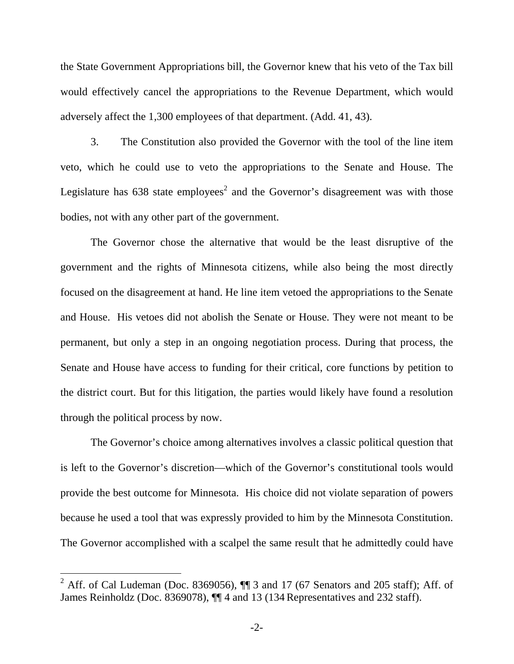the State Government Appropriations bill, the Governor knew that his veto of the Tax bill would effectively cancel the appropriations to the Revenue Department, which would adversely affect the 1,300 employees of that department. (Add. 41, 43).

3. The Constitution also provided the Governor with the tool of the line item veto, which he could use to veto the appropriations to the Senate and House. The Legislaturehas 638 state employees<sup>2</sup> and the Governor's disagreement was with those bodies, not with any other part of the government.

The Governor chose the alternative that would be the least disruptive of the government and the rights of Minnesota citizens, while also being the most directly focused on the disagreement at hand. He line item vetoed the appropriations to the Senate and House. His vetoes did not abolish the Senate or House. They were not meant to be permanent, but only a step in an ongoing negotiation process. During that process, the Senate and House have access to funding for their critical, core functions by petition to the district court. But for this litigation, the parties would likely have found a resolution through the political process by now.

The Governor's choice among alternatives involves a classic political question that is left to the Governor's discretion—which of the Governor's constitutional tools would provide the best outcome for Minnesota. His choice did not violate separation of powers because he used a tool that was expressly provided to him by the Minnesota Constitution. The Governor accomplished with a scalpel the same result that he admittedly could have

<span id="page-6-0"></span><sup>&</sup>lt;sup>2</sup> Aff. of Cal Ludeman (Doc. 8369056),  $\P$  3 and 17 (67 Senators and 205 staff); Aff. of James Reinholdz (Doc. 8369078),  $\P$  4 and 13 (134 Representatives and 232 staff).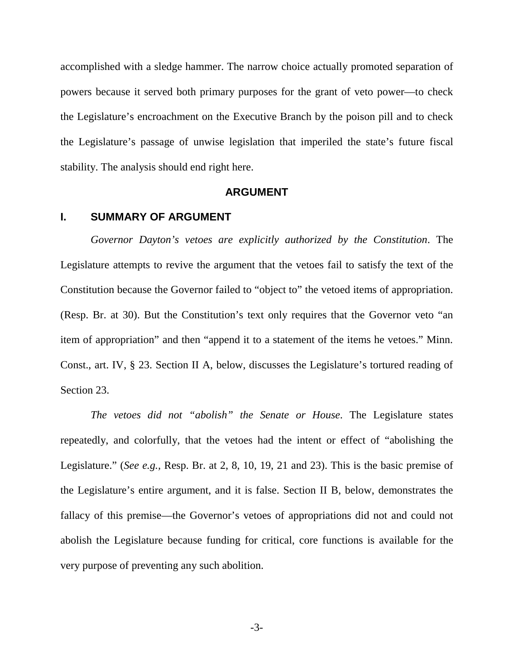accomplished with a sledge hammer. The narrow choice actually promoted separation of powers because it served both primary purposes for the grant of veto power—to check the Legislature's encroachment on the Executive Branch by the poison pill and to check the Legislature's passage of unwise legislation that imperiled the state's future fiscal stability. The analysis should end right here.

#### <span id="page-7-0"></span>**ARGUMENT**

#### **I. SUMMARY OF ARGUMENT**

*Governor Dayton's vetoes are explicitly authorized by the Constitution*. The Legislature attempts to revive the argument that the vetoes fail to satisfy the text of the Constitution because the Governor failed to "object to" the vetoed items of appropriation. (Resp. Br. at 30). But the Constitution's text only requires that the Governor veto "an item of appropriation" and then "append it to a statement of the items he vetoes." Minn. Const., art. IV, § 23. Section II A, below, discusses the Legislature's tortured reading of Section 23.

*The vetoes did not "abolish" the Senate or House*. The Legislature states repeatedly, and colorfully, that the vetoes had the intent or effect of "abolishing the Legislature." (*See e.g.,* Resp. Br. at 2, 8, 10, 19, 21 and 23). This is the basic premise of the Legislature's entire argument, and it is false. Section II B, below, demonstrates the fallacy of this premise—the Governor's vetoes of appropriations did not and could not abolish the Legislature because funding for critical, core functions is available for the very purpose of preventing any such abolition.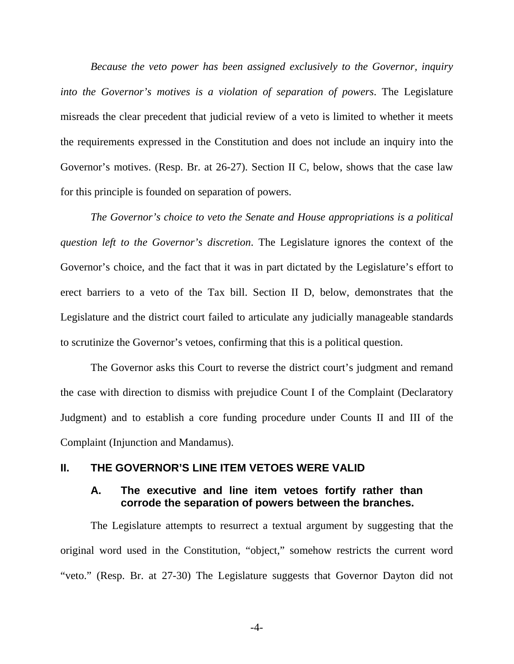*Because the veto power has been assigned exclusively to the Governor, inquiry into the Governor's motives is a violation of separation of powers*. The Legislature misreads the clear precedent that judicial review of a veto is limited to whether it meets the requirements expressed in the Constitution and does not include an inquiry into the Governor's motives. (Resp. Br. at 26-27). Section II C, below, shows that the case law for this principle is founded on separation of powers.

*The Governor's choice to veto the Senate and House appropriations is a political question left to the Governor's discretion*. The Legislature ignores the context of the Governor's choice, and the fact that it was in part dictated by the Legislature's effort to erect barriers to a veto of the Tax bill. Section II D, below, demonstrates that the Legislature and the district court failed to articulate any judicially manageable standards to scrutinize the Governor's vetoes, confirming that this is a political question.

The Governor asks this Court to reverse the district court's judgment and remand the case with direction to dismiss with prejudice Count I of the Complaint (Declaratory Judgment) and to establish a core funding procedure under Counts II and III of the Complaint (Injunction and Mandamus).

#### **II. THE GOVERNOR'S LINE ITEM VETOES WERE VALID**

### **A. The executive and line item vetoes fortify rather than corrode the separation of powers between the branches.**

The Legislature attempts to resurrect a textual argument by suggesting that the original word used in the Constitution, "object," somehow restricts the current word "veto." (Resp. Br. at 27-30) The Legislature suggests that Governor Dayton did not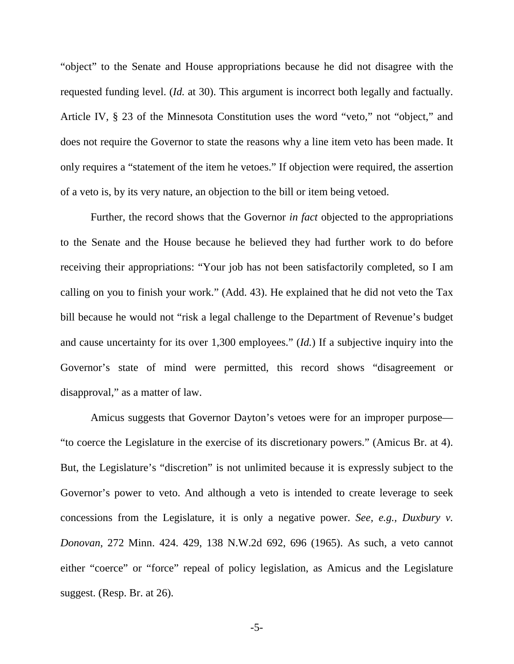"object" to the Senate and House appropriations because he did not disagree with the requested funding level. (*Id.* at 30). This argument is incorrect both legally and factually. Article IV, § 23 of the Minnesota Constitution uses the word "veto," not "object," and does not require the Governor to state the reasons why a line item veto has been made. It only requires a "statement of the item he vetoes." If objection were required, the assertion of a veto is, by its very nature, an objection to the bill or item being vetoed.

Further, the record shows that the Governor *in fact* objected to the appropriations to the Senate and the House because he believed they had further work to do before receiving their appropriations: "Your job has not been satisfactorily completed, so I am calling on you to finish your work." (Add. 43). He explained that he did not veto the Tax bill because he would not "risk a legal challenge to the Department of Revenue's budget and cause uncertainty for its over 1,300 employees." (*Id.*) If a subjective inquiry into the Governor's state of mind were permitted, this record shows "disagreement or disapproval," as a matter of law.

Amicus suggests that Governor Dayton's vetoes were for an improper purpose— "to coerce the Legislature in the exercise of its discretionary powers." (Amicus Br. at 4). But, the Legislature's "discretion" is not unlimited because it is expressly subject to the Governor's power to veto. And although a veto is intended to create leverage to seek concessions from the Legislature, it is only a negative power. *See, e.g., Duxbury v. Donovan*, 272 Minn. 424. 429, 138 N.W.2d 692, 696 (1965). As such, a veto cannot either "coerce" or "force" repeal of policy legislation, as Amicus and the Legislature suggest. (Resp. Br. at 26).

<span id="page-9-0"></span>-5-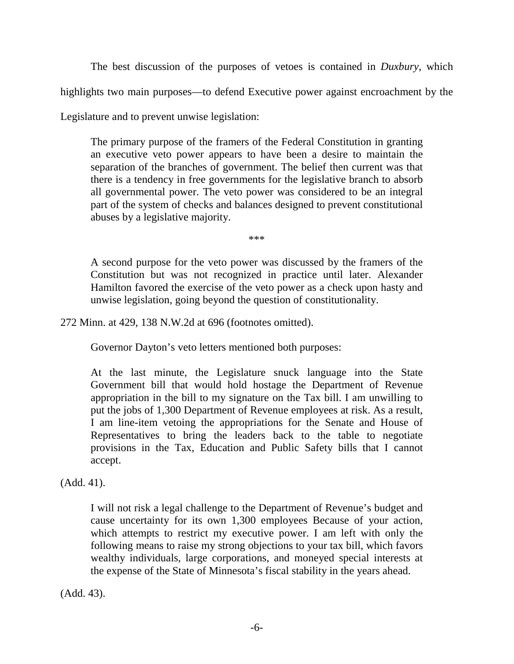The best discussion of the purposes of vetoes is contained in *Duxbury*, which

highlights two main purposes—to defend Executive power against encroachment by the

Legislature and to prevent unwise legislation:

The primary purpose of the framers of the Federal Constitution in granting an executive veto power appears to have been a desire to maintain the separation of the branches of government. The belief then current was that there is a tendency in free governments for the legislative branch to absorb all governmental power. The veto power was considered to be an integral part of the system of checks and balances designed to prevent constitutional abuses by a legislative majority.

<span id="page-10-0"></span>\*\*\*

A second purpose for the veto power was discussed by the framers of the Constitution but was not recognized in practice until later. Alexander Hamilton favored the exercise of the veto power as a check upon hasty and unwise legislation, going beyond the question of constitutionality.

272 Minn. at 429, 138 N.W.2d at 696 (footnotes omitted).

Governor Dayton's veto letters mentioned both purposes:

At the last minute, the Legislature snuck language into the State Government bill that would hold hostage the Department of Revenue appropriation in the bill to my signature on the Tax bill. I am unwilling to put the jobs of 1,300 Department of Revenue employees at risk. As a result, I am line-item vetoing the appropriations for the Senate and House of Representatives to bring the leaders back to the table to negotiate provisions in the Tax, Education and Public Safety bills that I cannot accept.

(Add. 41).

I will not risk a legal challenge to the Department of Revenue's budget and cause uncertainty for its own 1,300 employees Because of your action, which attempts to restrict my executive power. I am left with only the following means to raise my strong objections to your tax bill, which favors wealthy individuals, large corporations, and moneyed special interests at the expense of the State of Minnesota's fiscal stability in the years ahead.

(Add. 43).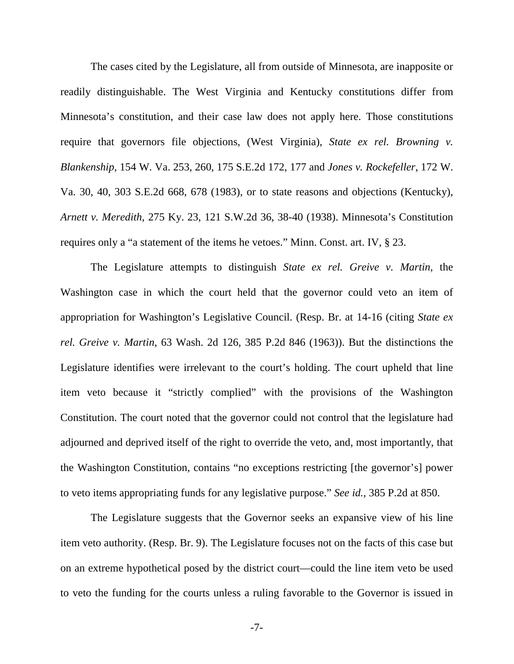<span id="page-11-2"></span><span id="page-11-1"></span>The cases cited by the Legislature, all from outside of Minnesota, are inapposite or readily distinguishable. The West Virginia and Kentucky constitutions differ from Minnesota's constitution, and their case law does not apply here. Those constitutions require that governors file objections, (West Virginia), *State ex rel. Browning v. Blankenship*, 154 W. Va. 253, 260, 175 S.E.2d 172, 177 and *Jones v. Rockefeller*, 172 W. Va. 30, 40, 303 S.E.2d 668, 678 (1983), or to state reasons and objections (Kentucky), *Arnett v. Meredith*, 275 Ky. 23, 121 S.W.2d 36, 38-40 (1938). Minnesota's Constitution requires only a "a statement of the items he vetoes." Minn. Const. art. IV, § 23.

<span id="page-11-3"></span><span id="page-11-0"></span>The Legislature attempts to distinguish *State ex rel. Greive v. Martin*, the Washington case in which the court held that the governor could veto an item of appropriation for Washington's Legislative Council. (Resp. Br. at 14-16 (citing *State ex rel. Greive v. Martin*, 63 Wash. 2d 126, 385 P.2d 846 (1963)). But the distinctions the Legislature identifies were irrelevant to the court's holding. The court upheld that line item veto because it "strictly complied" with the provisions of the Washington Constitution. The court noted that the governor could not control that the legislature had adjourned and deprived itself of the right to override the veto, and, most importantly, that the Washington Constitution, contains "no exceptions restricting [the governor's] power to veto items appropriating funds for any legislative purpose." *See id.*, 385 P.2d at 850.

The Legislature suggests that the Governor seeks an expansive view of his line item veto authority. (Resp. Br. 9). The Legislature focuses not on the facts of this case but on an extreme hypothetical posed by the district court—could the line item veto be used to veto the funding for the courts unless a ruling favorable to the Governor is issued in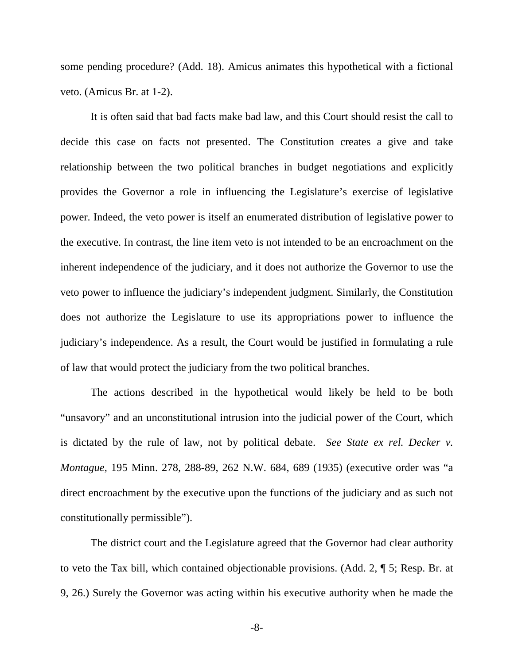some pending procedure? (Add. 18). Amicus animates this hypothetical with a fictional veto. (Amicus Br. at 1-2).

It is often said that bad facts make bad law, and this Court should resist the call to decide this case on facts not presented. The Constitution creates a give and take relationship between the two political branches in budget negotiations and explicitly provides the Governor a role in influencing the Legislature's exercise of legislative power. Indeed, the veto power is itself an enumerated distribution of legislative power to the executive. In contrast, the line item veto is not intended to be an encroachment on the inherent independence of the judiciary, and it does not authorize the Governor to use the veto power to influence the judiciary's independent judgment. Similarly, the Constitution does not authorize the Legislature to use its appropriations power to influence the judiciary's independence. As a result, the Court would be justified in formulating a rule of law that would protect the judiciary from the two political branches.

<span id="page-12-0"></span>The actions described in the hypothetical would likely be held to be both "unsavory" and an unconstitutional intrusion into the judicial power of the Court, which is dictated by the rule of law, not by political debate. *See State ex rel. Decker v. Montague*, 195 Minn. 278, 288-89, 262 N.W. 684, 689 (1935) (executive order was "a direct encroachment by the executive upon the functions of the judiciary and as such not constitutionally permissible").

The district court and the Legislature agreed that the Governor had clear authority to veto the Tax bill, which contained objectionable provisions. (Add. 2, ¶ 5; Resp. Br. at 9, 26.) Surely the Governor was acting within his executive authority when he made the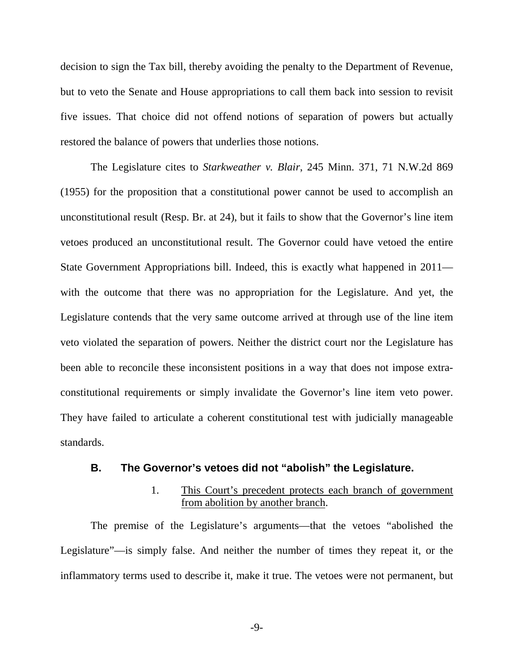decision to sign the Tax bill, thereby avoiding the penalty to the Department of Revenue, but to veto the Senate and House appropriations to call them back into session to revisit five issues. That choice did not offend notions of separation of powers but actually restored the balance of powers that underlies those notions.

<span id="page-13-0"></span>The Legislature cites to *Starkweather v. Blair*, 245 Minn. 371, 71 N.W.2d 869 (1955) for the proposition that a constitutional power cannot be used to accomplish an unconstitutional result (Resp. Br. at 24), but it fails to show that the Governor's line item vetoes produced an unconstitutional result. The Governor could have vetoed the entire State Government Appropriations bill. Indeed, this is exactly what happened in 2011 with the outcome that there was no appropriation for the Legislature. And yet, the Legislature contends that the very same outcome arrived at through use of the line item veto violated the separation of powers. Neither the district court nor the Legislature has been able to reconcile these inconsistent positions in a way that does not impose extraconstitutional requirements or simply invalidate the Governor's line item veto power. They have failed to articulate a coherent constitutional test with judicially manageable standards.

#### **B. The Governor's vetoes did not "abolish" the Legislature.**

### 1. This Court's precedent protects each branch of government from abolition by another branch.

The premise of the Legislature's arguments—that the vetoes "abolished the Legislature"—is simply false. And neither the number of times they repeat it, or the inflammatory terms used to describe it, make it true. The vetoes were not permanent, but

-9-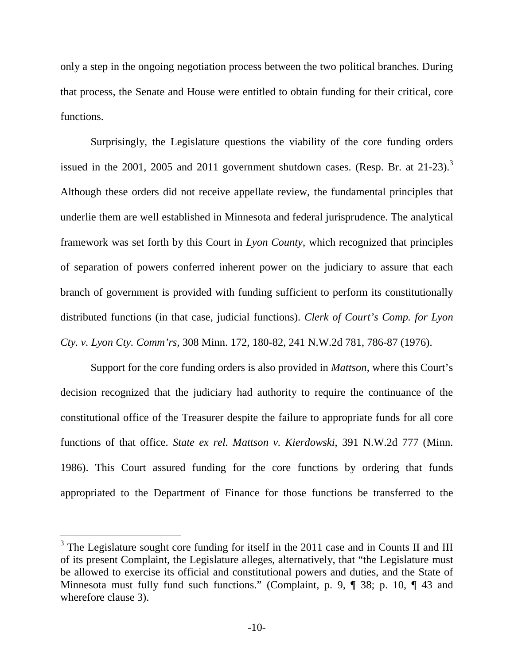only a step in the ongoing negotiation process between the two political branches. During that process, the Senate and House were entitled to obtain funding for their critical, core functions.

Surprisingly, the Legislature questions the viability of the core funding orders issued in the 2001, 2005 and 2011 government shutdown cases. (Resp. Br. at  $21-23$  $21-23$ ).<sup>3</sup> Although these orders did not receive appellate review, the fundamental principles that underlie them are well established in Minnesota and federal jurisprudence. The analytical framework was set forth by this Court in *Lyon County*, which recognized that principles of separation of powers conferred inherent power on the judiciary to assure that each branch of government is provided with funding sufficient to perform its constitutionally distributed functions (in that case, judicial functions). *Clerk of Court's Comp. for Lyon Cty. v. Lyon Cty. Comm'rs,* 308 Minn. 172, 180-82, 241 N.W.2d 781, 786-87 (1976).

<span id="page-14-1"></span><span id="page-14-0"></span>Support for the core funding orders is also provided in *Mattson*, where this Court's decision recognized that the judiciary had authority to require the continuance of the constitutional office of the Treasurer despite the failure to appropriate funds for all core functions of that office. *State ex rel. Mattson v. Kierdowski*, 391 N.W.2d 777 (Minn. 1986). This Court assured funding for the core functions by ordering that funds appropriated to the Department of Finance for those functions be transferred to the

<span id="page-14-2"></span> $3$  The Legislature sought core funding for itself in the 2011 case and in Counts II and III of its present Complaint, the Legislature alleges, alternatively, that "the Legislature must be allowed to exercise its official and constitutional powers and duties, and the State of Minnesota must fully fund such functions." (Complaint, p. 9, ¶ 38; p. 10, ¶ 43 and wherefore clause 3).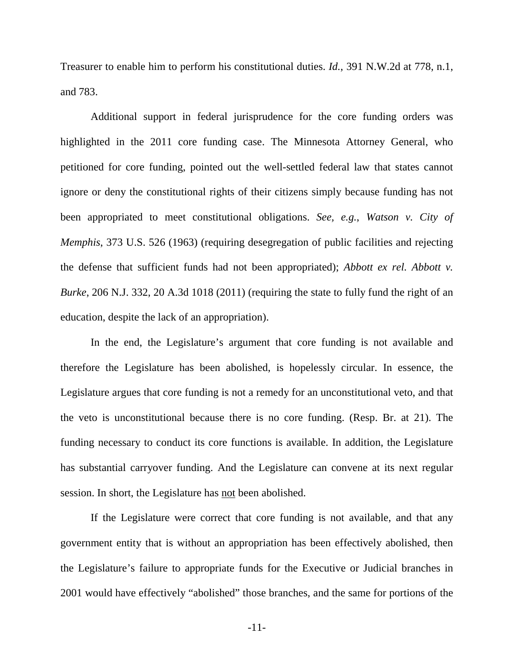<span id="page-15-1"></span>Treasurer to enable him to perform his constitutional duties. *Id.*, 391 N.W.2d at 778, n.1, and 783.

<span id="page-15-2"></span>Additional support in federal jurisprudence for the core funding orders was highlighted in the 2011 core funding case. The Minnesota Attorney General, who petitioned for core funding, pointed out the well-settled federal law that states cannot ignore or deny the constitutional rights of their citizens simply because funding has not been appropriated to meet constitutional obligations. *See, e.g.*, *Watson v. City of Memphis*, 373 U.S. 526 (1963) (requiring desegregation of public facilities and rejecting the defense that sufficient funds had not been appropriated); *Abbott ex rel. Abbott v. Burke*, 206 N.J. 332, 20 A.3d 1018 (2011) (requiring the state to fully fund the right of an education, despite the lack of an appropriation).

<span id="page-15-0"></span>In the end, the Legislature's argument that core funding is not available and therefore the Legislature has been abolished, is hopelessly circular. In essence, the Legislature argues that core funding is not a remedy for an unconstitutional veto, and that the veto is unconstitutional because there is no core funding. (Resp. Br. at 21). The funding necessary to conduct its core functions is available. In addition, the Legislature has substantial carryover funding. And the Legislature can convene at its next regular session. In short, the Legislature has not been abolished.

If the Legislature were correct that core funding is not available, and that any government entity that is without an appropriation has been effectively abolished, then the Legislature's failure to appropriate funds for the Executive or Judicial branches in 2001 would have effectively "abolished" those branches, and the same for portions of the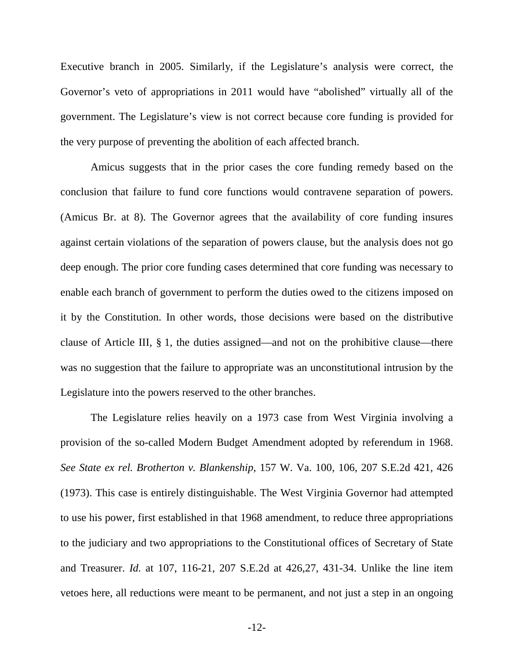Executive branch in 2005. Similarly, if the Legislature's analysis were correct, the Governor's veto of appropriations in 2011 would have "abolished" virtually all of the government. The Legislature's view is not correct because core funding is provided for the very purpose of preventing the abolition of each affected branch.

Amicus suggests that in the prior cases the core funding remedy based on the conclusion that failure to fund core functions would contravene separation of powers. (Amicus Br. at 8). The Governor agrees that the availability of core funding insures against certain violations of the separation of powers clause, but the analysis does not go deep enough. The prior core funding cases determined that core funding was necessary to enable each branch of government to perform the duties owed to the citizens imposed on it by the Constitution. In other words, those decisions were based on the distributive clause of Article III, § 1, the duties assigned—and not on the prohibitive clause—there was no suggestion that the failure to appropriate was an unconstitutional intrusion by the Legislature into the powers reserved to the other branches.

<span id="page-16-1"></span><span id="page-16-0"></span>The Legislature relies heavily on a 1973 case from West Virginia involving a provision of the so-called Modern Budget Amendment adopted by referendum in 1968. *See State ex rel. Brotherton v. Blankenship*, 157 W. Va. 100, 106, 207 S.E.2d 421, 426 (1973). This case is entirely distinguishable. The West Virginia Governor had attempted to use his power, first established in that 1968 amendment, to reduce three appropriations to the judiciary and two appropriations to the Constitutional offices of Secretary of State and Treasurer. *Id.* at 107, 116-21, 207 S.E.2d at 426,27, 431-34. Unlike the line item vetoes here, all reductions were meant to be permanent, and not just a step in an ongoing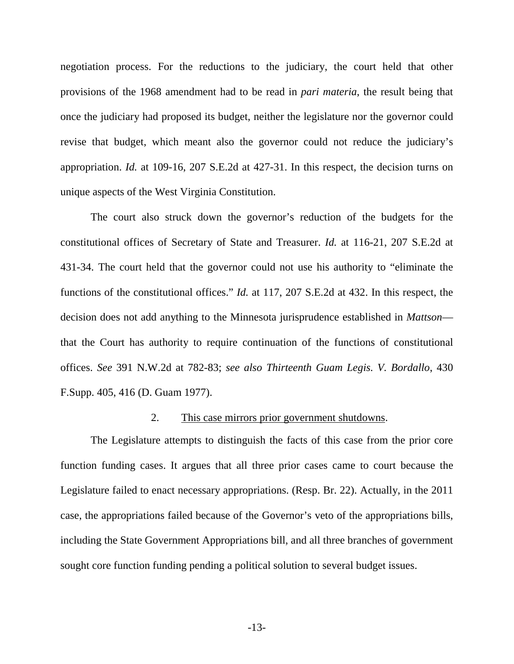negotiation process. For the reductions to the judiciary, the court held that other provisions of the 1968 amendment had to be read in *pari materia*, the result being that once the judiciary had proposed its budget, neither the legislature nor the governor could revise that budget, which meant also the governor could not reduce the judiciary's appropriation. *Id.* at 109-16, 207 S.E.2d at 427-31. In this respect, the decision turns on unique aspects of the West Virginia Constitution.

<span id="page-17-3"></span><span id="page-17-0"></span>The court also struck down the governor's reduction of the budgets for the constitutional offices of Secretary of State and Treasurer. *Id.* at 116-21, 207 S.E.2d at 431-34. The court held that the governor could not use his authority to "eliminate the functions of the constitutional offices." *Id.* at 117, 207 S.E.2d at 432. In this respect, the decision does not add anything to the Minnesota jurisprudence established in *Mattson* that the Court has authority to require continuation of the functions of constitutional offices. *See* 391 N.W.2d at 782-83; *see also Thirteenth Guam Legis. V. Bordallo*, 430 F.Supp. 405, 416 (D. Guam 1977).

#### <span id="page-17-2"></span><span id="page-17-1"></span>2. This case mirrors prior government shutdowns.

The Legislature attempts to distinguish the facts of this case from the prior core function funding cases. It argues that all three prior cases came to court because the Legislature failed to enact necessary appropriations. (Resp. Br. 22). Actually, in the 2011 case, the appropriations failed because of the Governor's veto of the appropriations bills, including the State Government Appropriations bill, and all three branches of government sought core function funding pending a political solution to several budget issues.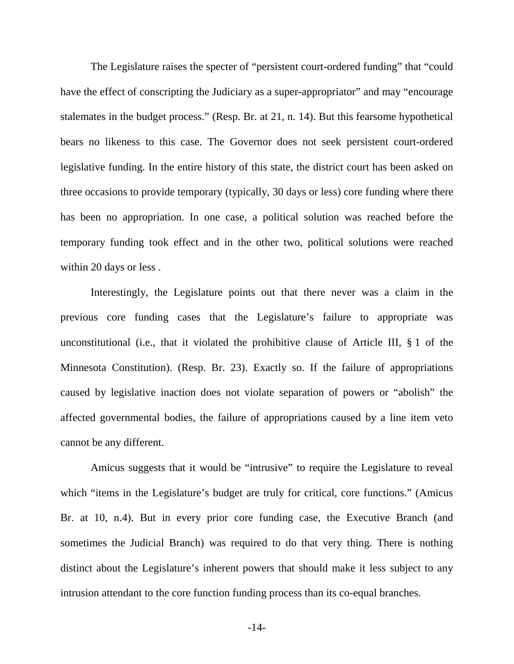The Legislature raises the specter of "persistent court-ordered funding" that "could have the effect of conscripting the Judiciary as a super-appropriator" and may "encourage stalemates in the budget process." (Resp. Br. at 21, n. 14). But this fearsome hypothetical bears no likeness to this case. The Governor does not seek persistent court-ordered legislative funding. In the entire history of this state, the district court has been asked on three occasions to provide temporary (typically, 30 days or less) core funding where there has been no appropriation. In one case, a political solution was reached before the temporary funding took effect and in the other two, political solutions were reached within 20 days or less .

<span id="page-18-0"></span>Interestingly, the Legislature points out that there never was a claim in the previous core funding cases that the Legislature's failure to appropriate was unconstitutional (i.e., that it violated the prohibitive clause of Article III, § 1 of the Minnesota Constitution). (Resp. Br. 23). Exactly so. If the failure of appropriations caused by legislative inaction does not violate separation of powers or "abolish" the affected governmental bodies, the failure of appropriations caused by a line item veto cannot be any different.

Amicus suggests that it would be "intrusive" to require the Legislature to reveal which "items in the Legislature's budget are truly for critical, core functions." (Amicus Br. at 10, n.4). But in every prior core funding case, the Executive Branch (and sometimes the Judicial Branch) was required to do that very thing. There is nothing distinct about the Legislature's inherent powers that should make it less subject to any intrusion attendant to the core function funding process than its co-equal branches.

-14-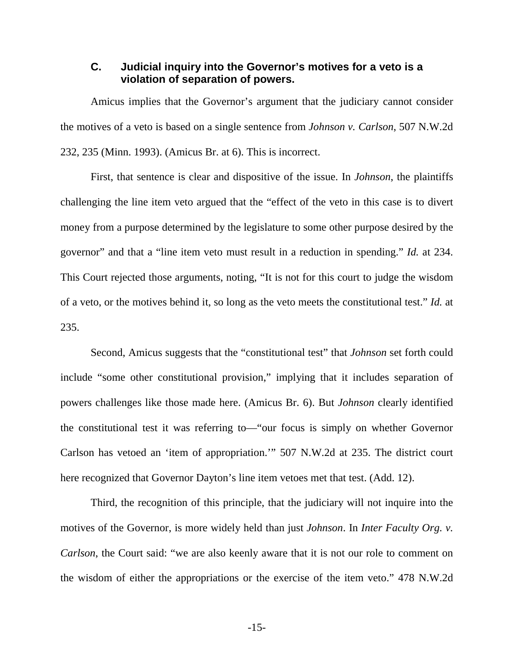### <span id="page-19-1"></span>**C. Judicial inquiry into the Governor's motives for a veto is a violation of separation of powers.**

Amicus implies that the Governor's argument that the judiciary cannot consider the motives of a veto is based on a single sentence from *Johnson v. Carlson*, 507 N.W.2d 232, 235 (Minn. 1993). (Amicus Br. at 6). This is incorrect.

First, that sentence is clear and dispositive of the issue. In *Johnson*, the plaintiffs challenging the line item veto argued that the "effect of the veto in this case is to divert money from a purpose determined by the legislature to some other purpose desired by the governor" and that a "line item veto must result in a reduction in spending." *Id.* at 234. This Court rejected those arguments, noting, "It is not for this court to judge the wisdom of a veto, or the motives behind it, so long as the veto meets the constitutional test." *Id.* at 235.

Second, Amicus suggests that the "constitutional test" that *Johnson* set forth could include "some other constitutional provision," implying that it includes separation of powers challenges like those made here. (Amicus Br. 6). But *Johnson* clearly identified the constitutional test it was referring to—"our focus is simply on whether Governor Carlson has vetoed an 'item of appropriation.'" 507 N.W.2d at 235. The district court here recognized that Governor Dayton's line item vetoes met that test. (Add. 12).

<span id="page-19-0"></span>Third, the recognition of this principle, that the judiciary will not inquire into the motives of the Governor, is more widely held than just *Johnson*. In *Inter Faculty Org. v. Carlson*, the Court said: "we are also keenly aware that it is not our role to comment on the wisdom of either the appropriations or the exercise of the item veto." 478 N.W.2d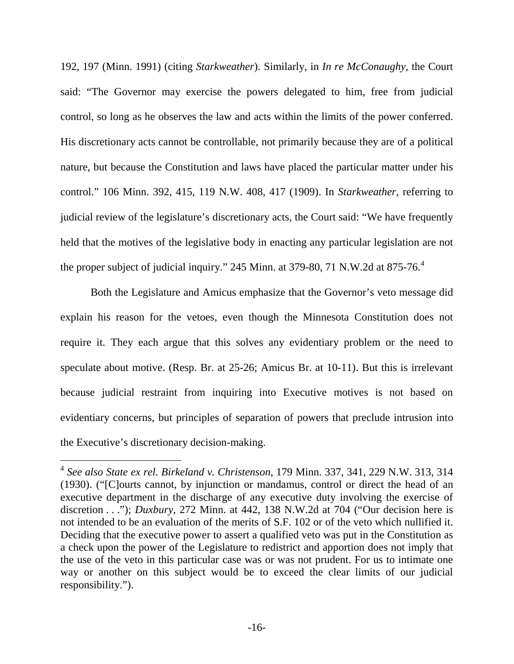<span id="page-20-2"></span><span id="page-20-1"></span>192, 197 (Minn. 1991) (citing *Starkweather*). Similarly, in *In re McConaughy*, the Court said: "The Governor may exercise the powers delegated to him, free from judicial control, so long as he observes the law and acts within the limits of the power conferred. His discretionary acts cannot be controllable, not primarily because they are of a political nature, but because the Constitution and laws have placed the particular matter under his control." 106 Minn. 392, 415, 119 N.W. 408, 417 (1909). In *Starkweather*, referring to judicial review of the legislature's discretionary acts, the Court said: "We have frequently held that the motives of the legislative body in enacting any particular legislation are not the proper subject of judicial inquiry." 245 Minn. at 379-80, 71 N.W.2d at 875-76.<sup>4</sup>

Both the Legislature and Amicus emphasize that the Governor's veto message did explain his reason for the vetoes, even though the Minnesota Constitution does not require it. They each argue that this solves any evidentiary problem or the need to speculate about motive. (Resp. Br. at 25-26; Amicus Br. at 10-11). But this is irrelevant because judicial restraint from inquiring into Executive motives is not based on evidentiary concerns, but principles of separation of powers that preclude intrusion into the Executive's discretionary decision-making.

<span id="page-20-3"></span><span id="page-20-0"></span><sup>4</sup> *See also State ex rel. Birkeland v. Christenson*, 179 Minn. 337, 341, 229 N.W. 313, 314 (1930). ("[C]ourts cannot, by injunction or mandamus, control or direct the head of an executive department in the discharge of any executive duty involving the exercise of discretion . . ."); *Duxbury*, 272 Minn. at 442, 138 N.W.2d at 704 ("Our decision here is not intended to be an evaluation of the merits of S.F. 102 or of the veto which nullified it. Deciding that the executive power to assert a qualified veto was put in the Constitution as a check upon the power of the Legislature to redistrict and apportion does not imply that the use of the veto in this particular case was or was not prudent. For us to intimate one way or another on this subject would be to exceed the clear limits of our judicial responsibility.").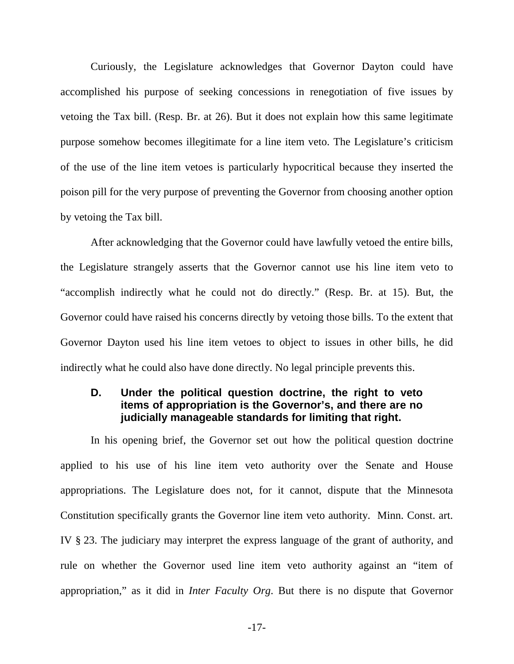Curiously, the Legislature acknowledges that Governor Dayton could have accomplished his purpose of seeking concessions in renegotiation of five issues by vetoing the Tax bill. (Resp. Br. at 26). But it does not explain how this same legitimate purpose somehow becomes illegitimate for a line item veto. The Legislature's criticism of the use of the line item vetoes is particularly hypocritical because they inserted the poison pill for the very purpose of preventing the Governor from choosing another option by vetoing the Tax bill.

After acknowledging that the Governor could have lawfully vetoed the entire bills, the Legislature strangely asserts that the Governor cannot use his line item veto to "accomplish indirectly what he could not do directly." (Resp. Br. at 15). But, the Governor could have raised his concerns directly by vetoing those bills. To the extent that Governor Dayton used his line item vetoes to object to issues in other bills, he did indirectly what he could also have done directly. No legal principle prevents this.

### **D. Under the political question doctrine, the right to veto items of appropriation is the Governor's, and there are no judicially manageable standards for limiting that right.**

In his opening brief, the Governor set out how the political question doctrine applied to his use of his line item veto authority over the Senate and House appropriations. The Legislature does not, for it cannot, dispute that the Minnesota Constitution specifically grants the Governor line item veto authority. Minn. Const. art. IV § 23. The judiciary may interpret the express language of the grant of authority, and rule on whether the Governor used line item veto authority against an "item of appropriation," as it did in *Inter Faculty Org*. But there is no dispute that Governor

<span id="page-21-0"></span>-17-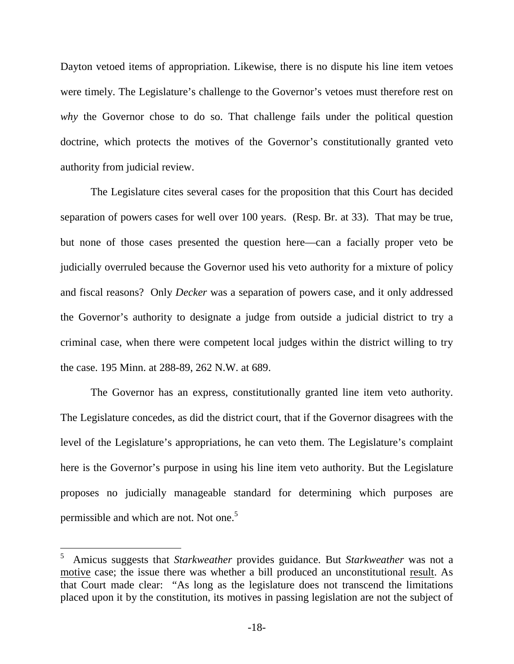Dayton vetoed items of appropriation. Likewise, there is no dispute his line item vetoes were timely. The Legislature's challenge to the Governor's vetoes must therefore rest on *why* the Governor chose to do so. That challenge fails under the political question doctrine, which protects the motives of the Governor's constitutionally granted veto authority from judicial review.

<span id="page-22-3"></span>The Legislature cites several cases for the proposition that this Court has decided separation of powers cases for well over 100 years. (Resp. Br. at 33). That may be true, but none of those cases presented the question here—can a facially proper veto be judicially overruled because the Governor used his veto authority for a mixture of policy and fiscal reasons? Only *Decker* was a separation of powers case, and it only addressed the Governor's authority to designate a judge from outside a judicial district to try a criminal case, when there were competent local judges within the district willing to try the case. 195 Minn. at 288-89, 262 N.W. at 689.

The Governor has an express, constitutionally granted line item veto authority. The Legislature concedes, as did the district court, that if the Governor disagrees with the level of the Legislature's appropriations, he can veto them. The Legislature's complaint here is the Governor's purpose in using his line item veto authority. But the Legislature proposes no judicially manageable standard for determining which purposes are permissible and which are not. Not one.<sup>[5](#page-22-4)</sup>

<span id="page-22-4"></span><span id="page-22-2"></span><span id="page-22-1"></span><span id="page-22-0"></span><sup>5</sup> Amicus suggests that *Starkweather* provides guidance. But *Starkweather* was not a motive case; the issue there was whether a bill produced an unconstitutional result. As that Court made clear: "As long as the legislature does not transcend the limitations placed upon it by the constitution, its motives in passing legislation are not the subject of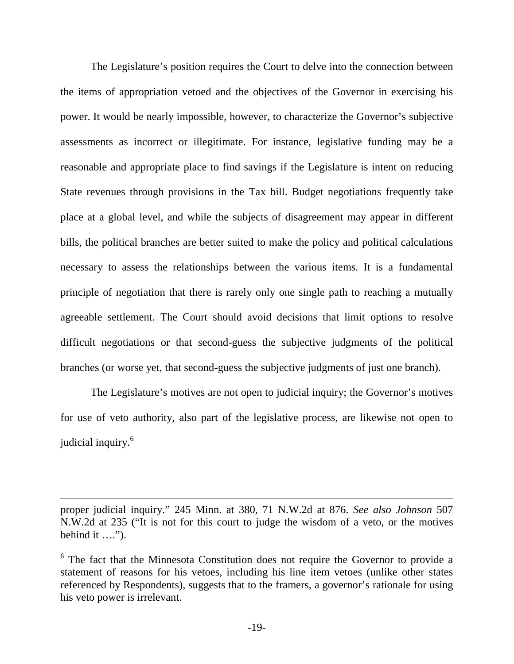The Legislature's position requires the Court to delve into the connection between the items of appropriation vetoed and the objectives of the Governor in exercising his power. It would be nearly impossible, however, to characterize the Governor's subjective assessments as incorrect or illegitimate. For instance, legislative funding may be a reasonable and appropriate place to find savings if the Legislature is intent on reducing State revenues through provisions in the Tax bill. Budget negotiations frequently take place at a global level, and while the subjects of disagreement may appear in different bills, the political branches are better suited to make the policy and political calculations necessary to assess the relationships between the various items. It is a fundamental principle of negotiation that there is rarely only one single path to reaching a mutually agreeable settlement. The Court should avoid decisions that limit options to resolve difficult negotiations or that second-guess the subjective judgments of the political branches (or worse yet, that second-guess the subjective judgments of just one branch).

The Legislature's motives are not open to judicial inquiry; the Governor's motives for use of veto authority, also part of the legislative process, are likewise not open to judicial inquiry.<sup>[6](#page-23-1)</sup>

proper judicial inquiry." 245 Minn. at 380, 71 N.W.2d at 876. *See also Johnson* 507 N.W.2d at 235 ("It is not for this court to judge the wisdom of a veto, or the motives behind it ….").

<span id="page-23-1"></span><span id="page-23-0"></span><sup>&</sup>lt;sup>6</sup> The fact that the Minnesota Constitution does not require the Governor to provide a statement of reasons for his vetoes, including his line item vetoes (unlike other states referenced by Respondents), suggests that to the framers, a governor's rationale for using his veto power is irrelevant.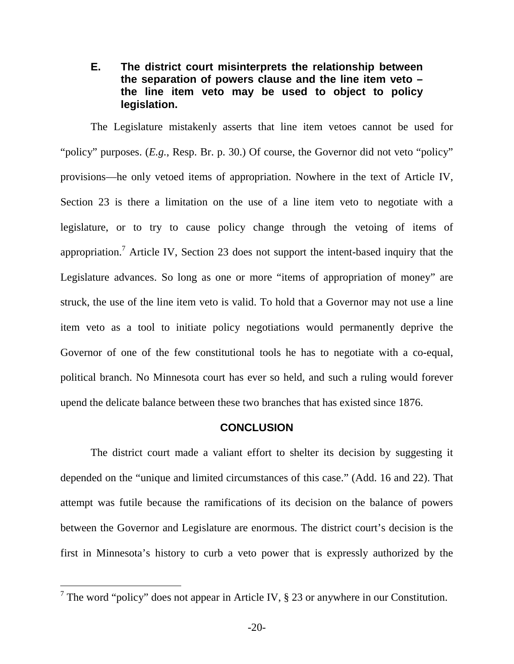### **E. The district court misinterprets the relationship between the separation of powers clause and the line item veto – the line item veto may be used to object to policy legislation.**

The Legislature mistakenly asserts that line item vetoes cannot be used for "policy" purposes. (*E.g.*, Resp. Br. p. 30.) Of course, the Governor did not veto "policy" provisions—he only vetoed items of appropriation. Nowhere in the text of Article IV, Section 23 is there a limitation on the use of a line item veto to negotiate with a legislature, or to try to cause policy change through the vetoing of items of appropriation.<sup>7</sup>Article IV, Section 23 does not support the intent-based inquiry that the Legislature advances. So long as one or more "items of appropriation of money" are struck, the use of the line item veto is valid. To hold that a Governor may not use a line item veto as a tool to initiate policy negotiations would permanently deprive the Governor of one of the few constitutional tools he has to negotiate with a co-equal, political branch. No Minnesota court has ever so held, and such a ruling would forever upend the delicate balance between these two branches that has existed since 1876.

#### **CONCLUSION**

The district court made a valiant effort to shelter its decision by suggesting it depended on the "unique and limited circumstances of this case." (Add. 16 and 22). That attempt was futile because the ramifications of its decision on the balance of powers between the Governor and Legislature are enormous. The district court's decision is the first in Minnesota's history to curb a veto power that is expressly authorized by the

<span id="page-24-0"></span><sup>&</sup>lt;sup>7</sup> The word "policy" does not appear in Article IV,  $\S$  23 or anywhere in our Constitution.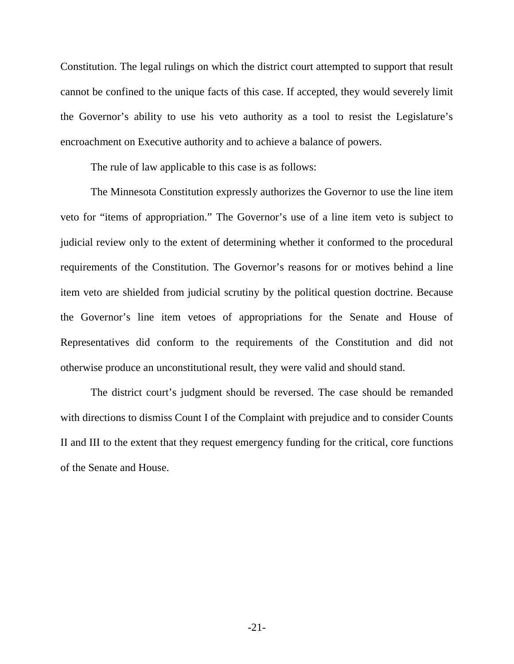Constitution. The legal rulings on which the district court attempted to support that result cannot be confined to the unique facts of this case. If accepted, they would severely limit the Governor's ability to use his veto authority as a tool to resist the Legislature's encroachment on Executive authority and to achieve a balance of powers.

<span id="page-25-0"></span>The rule of law applicable to this case is as follows:

The Minnesota Constitution expressly authorizes the Governor to use the line item veto for "items of appropriation." The Governor's use of a line item veto is subject to judicial review only to the extent of determining whether it conformed to the procedural requirements of the Constitution. The Governor's reasons for or motives behind a line item veto are shielded from judicial scrutiny by the political question doctrine. Because the Governor's line item vetoes of appropriations for the Senate and House of Representatives did conform to the requirements of the Constitution and did not otherwise produce an unconstitutional result, they were valid and should stand.

The district court's judgment should be reversed. The case should be remanded with directions to dismiss Count I of the Complaint with prejudice and to consider Counts II and III to the extent that they request emergency funding for the critical, core functions of the Senate and House.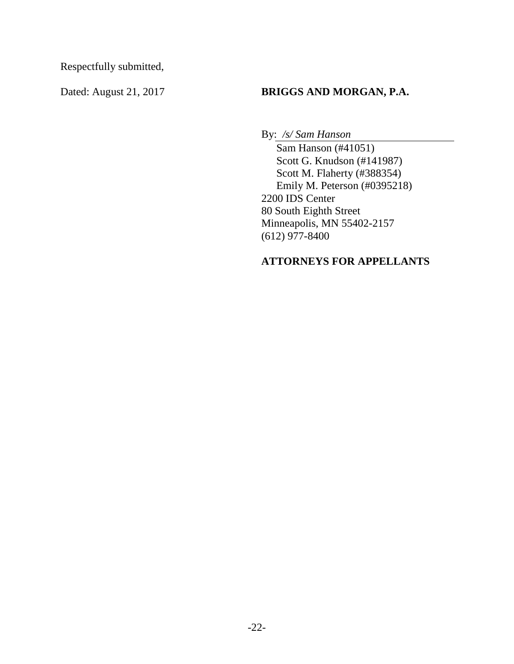Respectfully submitted,

## Dated: August 21, 2017 **BRIGGS AND MORGAN, P.A.**

By: */s/ Sam Hanson* 

Sam Hanson (#41051) Scott G. Knudson (#141987) Scott M. Flaherty (#388354) Emily M. Peterson (#0395218) 2200 IDS Center 80 South Eighth Street Minneapolis, MN 55402-2157 (612) 977-8400

## **ATTORNEYS FOR APPELLANTS**